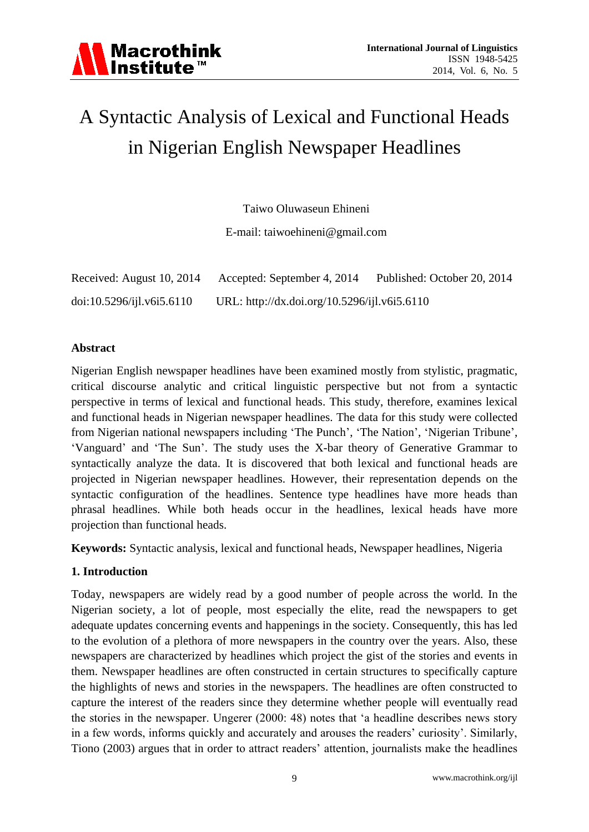# A Syntactic Analysis of Lexical and Functional Heads in Nigerian English Newspaper Headlines

Taiwo Oluwaseun Ehineni

E-mail: taiwoehineni@gmail.com

| Received: August 10, 2014 | Accepted: September 4, 2014                  | Published: October 20, 2014 |
|---------------------------|----------------------------------------------|-----------------------------|
| doi:10.5296/ijl.v6i5.6110 | URL: http://dx.doi.org/10.5296/ijl.v6i5.6110 |                             |

### **Abstract**

Nigerian English newspaper headlines have been examined mostly from stylistic, pragmatic, critical discourse analytic and critical linguistic perspective but not from a syntactic perspective in terms of lexical and functional heads. This study, therefore, examines lexical and functional heads in Nigerian newspaper headlines. The data for this study were collected from Nigerian national newspapers including 'The Punch', 'The Nation', 'Nigerian Tribune', 'Vanguard' and 'The Sun'. The study uses the X-bar theory of Generative Grammar to syntactically analyze the data. It is discovered that both lexical and functional heads are projected in Nigerian newspaper headlines. However, their representation depends on the syntactic configuration of the headlines. Sentence type headlines have more heads than phrasal headlines. While both heads occur in the headlines, lexical heads have more projection than functional heads.

**Keywords:** Syntactic analysis, lexical and functional heads, Newspaper headlines, Nigeria

### **1. Introduction**

Today, newspapers are widely read by a good number of people across the world. In the Nigerian society, a lot of people, most especially the elite, read the newspapers to get adequate updates concerning events and happenings in the society. Consequently, this has led to the evolution of a plethora of more newspapers in the country over the years. Also, these newspapers are characterized by headlines which project the gist of the stories and events in them. Newspaper headlines are often constructed in certain structures to specifically capture the highlights of news and stories in the newspapers. The headlines are often constructed to capture the interest of the readers since they determine whether people will eventually read the stories in the newspaper. Ungerer (2000: 48) notes that 'a headline describes news story in a few words, informs quickly and accurately and arouses the readers' curiosity'. Similarly, Tiono (2003) argues that in order to attract readers' attention, journalists make the headlines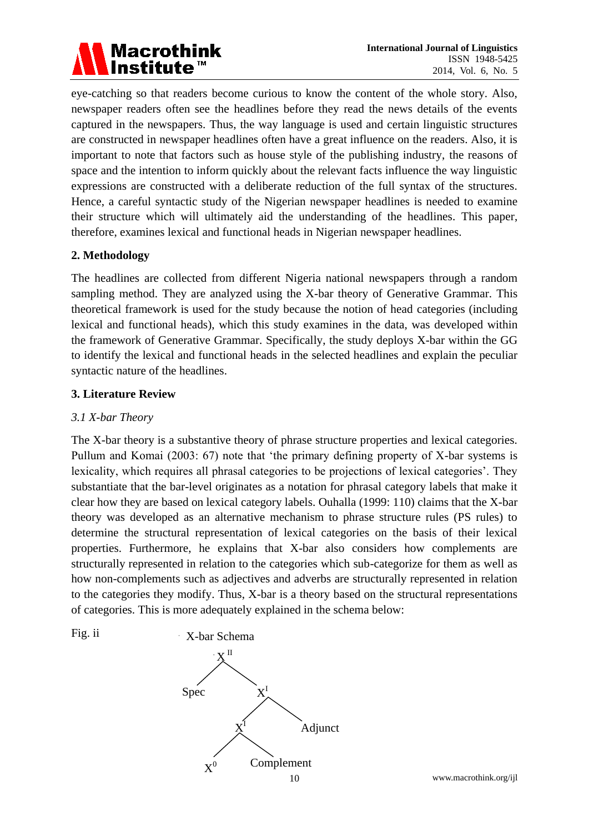

eye-catching so that readers become curious to know the content of the whole story. Also, newspaper readers often see the headlines before they read the news details of the events captured in the newspapers. Thus, the way language is used and certain linguistic structures are constructed in newspaper headlines often have a great influence on the readers. Also, it is important to note that factors such as house style of the publishing industry, the reasons of space and the intention to inform quickly about the relevant facts influence the way linguistic expressions are constructed with a deliberate reduction of the full syntax of the structures. Hence, a careful syntactic study of the Nigerian newspaper headlines is needed to examine their structure which will ultimately aid the understanding of the headlines. This paper, therefore, examines lexical and functional heads in Nigerian newspaper headlines.

### **2. Methodology**

The headlines are collected from different Nigeria national newspapers through a random sampling method. They are analyzed using the X-bar theory of Generative Grammar. This theoretical framework is used for the study because the notion of head categories (including lexical and functional heads), which this study examines in the data, was developed within the framework of Generative Grammar. Specifically, the study deploys X-bar within the GG to identify the lexical and functional heads in the selected headlines and explain the peculiar syntactic nature of the headlines.

#### **3. Literature Review**

#### *3.1 X-bar Theory*

The X-bar theory is a substantive theory of phrase structure properties and lexical categories. Pullum and Komai (2003: 67) note that 'the primary defining property of X-bar systems is lexicality, which requires all phrasal categories to be projections of lexical categories'. They substantiate that the bar-level originates as a notation for phrasal category labels that make it clear how they are based on lexical category labels. Ouhalla (1999: 110) claims that the X-bar theory was developed as an alternative mechanism to phrase structure rules (PS rules) to determine the structural representation of lexical categories on the basis of their lexical properties. Furthermore, he explains that X-bar also considers how complements are structurally represented in relation to the categories which sub-categorize for them as well as how non-complements such as adjectives and adverbs are structurally represented in relation to the categories they modify. Thus, X-bar is a theory based on the structural representations of categories. This is more adequately explained in the schema below:



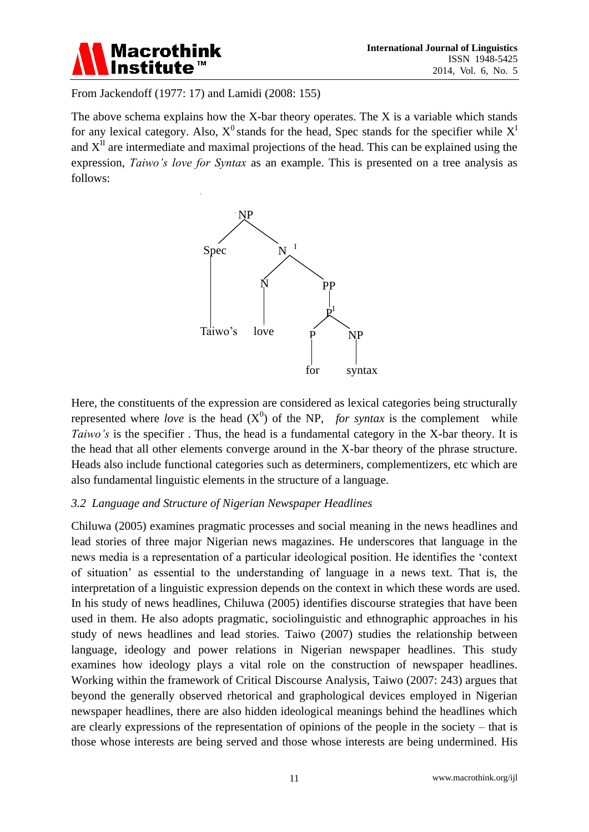

From Jackendoff (1977: 17) and Lamidi (2008: 155)

The above schema explains how the X-bar theory operates. The X is a variable which stands for any lexical category. Also,  $X^0$  stands for the head, Spec stands for the specifier while  $X^I$ and  $X<sup>II</sup>$  are intermediate and maximal projections of the head. This can be explained using the expression, *Taiwo's love for Syntax* as an example. This is presented on a tree analysis as follows:



Here, the constituents of the expression are considered as lexical categories being structurally represented where *love* is the head  $(X^0)$  of the NP, *for syntax* is the complement while *Taiwo's* is the specifier . Thus, the head is a fundamental category in the X-bar theory. It is the head that all other elements converge around in the X-bar theory of the phrase structure. Heads also include functional categories such as determiners, complementizers, etc which are also fundamental linguistic elements in the structure of a language.

### *3.2 Language and Structure of Nigerian Newspaper Headlines*

Chiluwa (2005) examines pragmatic processes and social meaning in the news headlines and lead stories of three major Nigerian news magazines. He underscores that language in the news media is a representation of a particular ideological position. He identifies the 'context of situation' as essential to the understanding of language in a news text. That is, the interpretation of a linguistic expression depends on the context in which these words are used. In his study of news headlines, Chiluwa (2005) identifies discourse strategies that have been used in them. He also adopts pragmatic, sociolinguistic and ethnographic approaches in his study of news headlines and lead stories. Taiwo (2007) studies the relationship between language, ideology and power relations in Nigerian newspaper headlines. This study examines how ideology plays a vital role on the construction of newspaper headlines. Working within the framework of Critical Discourse Analysis, Taiwo (2007: 243) argues that beyond the generally observed rhetorical and graphological devices employed in Nigerian newspaper headlines, there are also hidden ideological meanings behind the headlines which are clearly expressions of the representation of opinions of the people in the society – that is those whose interests are being served and those whose interests are being undermined. His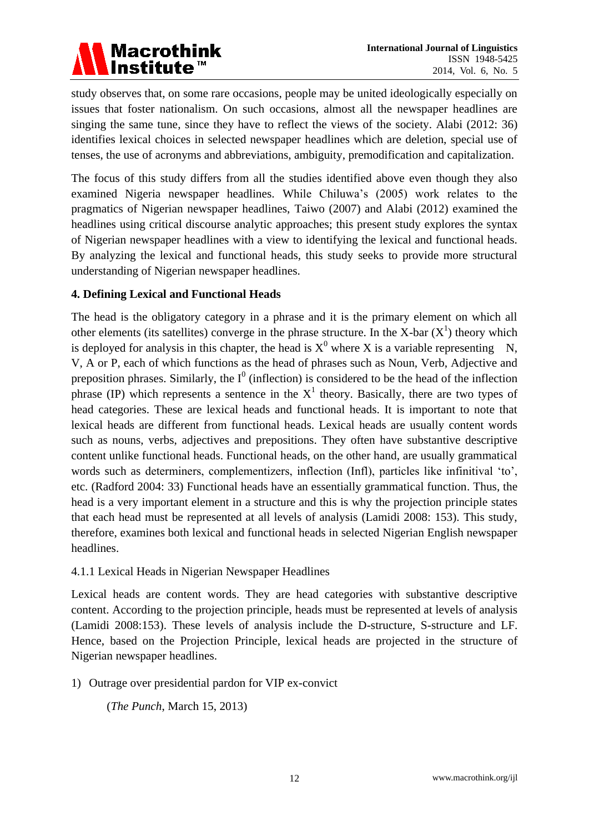

study observes that, on some rare occasions, people may be united ideologically especially on issues that foster nationalism. On such occasions, almost all the newspaper headlines are singing the same tune, since they have to reflect the views of the society. Alabi (2012: 36) identifies lexical choices in selected newspaper headlines which are deletion, special use of tenses, the use of acronyms and abbreviations, ambiguity, premodification and capitalization.

The focus of this study differs from all the studies identified above even though they also examined Nigeria newspaper headlines. While Chiluwa's (2005) work relates to the pragmatics of Nigerian newspaper headlines, Taiwo (2007) and Alabi (2012) examined the headlines using critical discourse analytic approaches; this present study explores the syntax of Nigerian newspaper headlines with a view to identifying the lexical and functional heads. By analyzing the lexical and functional heads, this study seeks to provide more structural understanding of Nigerian newspaper headlines.

### **4. Defining Lexical and Functional Heads**

The head is the obligatory category in a phrase and it is the primary element on which all other elements (its satellites) converge in the phrase structure. In the X-bar  $(X^1)$  theory which is deployed for analysis in this chapter, the head is  $X^0$  where X is a variable representing N, V, A or P, each of which functions as the head of phrases such as Noun, Verb, Adjective and preposition phrases. Similarly, the  $I^0$  (inflection) is considered to be the head of the inflection phrase (IP) which represents a sentence in the  $X<sup>1</sup>$  theory. Basically, there are two types of head categories. These are lexical heads and functional heads. It is important to note that lexical heads are different from functional heads. Lexical heads are usually content words such as nouns, verbs, adjectives and prepositions. They often have substantive descriptive content unlike functional heads. Functional heads, on the other hand, are usually grammatical words such as determiners, complementizers, inflection (Infl), particles like infinitival 'to', etc. (Radford 2004: 33) Functional heads have an essentially grammatical function. Thus, the head is a very important element in a structure and this is why the projection principle states that each head must be represented at all levels of analysis (Lamidi 2008: 153). This study, therefore, examines both lexical and functional heads in selected Nigerian English newspaper headlines.

4.1.1 Lexical Heads in Nigerian Newspaper Headlines

Lexical heads are content words. They are head categories with substantive descriptive content. According to the projection principle, heads must be represented at levels of analysis (Lamidi 2008:153). These levels of analysis include the D-structure, S-structure and LF. Hence, based on the Projection Principle, lexical heads are projected in the structure of Nigerian newspaper headlines.

1) Outrage over presidential pardon for VIP ex-convict

(*The Punch*, March 15, 2013)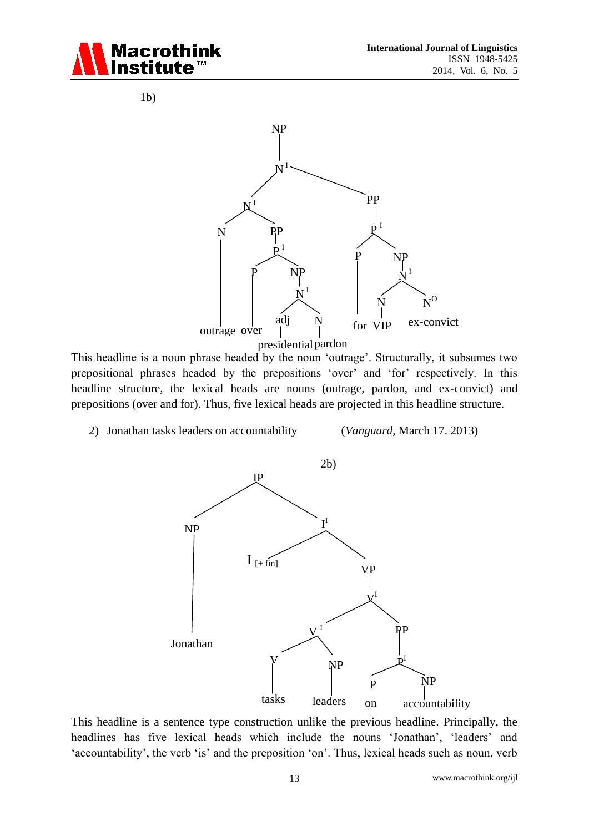

1b)



presidential pardon

This headline is a noun phrase headed by the noun 'outrage'. Structurally, it subsumes two prepositional phrases headed by the prepositions 'over' and 'for' respectively. In this headline structure, the lexical heads are nouns (outrage, pardon, and ex-convict) and prepositions (over and for). Thus, five lexical heads are projected in this headline structure.

2) Jonathan tasks leaders on accountability (*Vanguard*, March 17. 2013)



This headline is a sentence type construction unlike the previous headline. Principally, the headlines has five lexical heads which include the nouns 'Jonathan', 'leaders' and 'accountability', the verb 'is' and the preposition 'on'. Thus, lexical heads such as noun, verb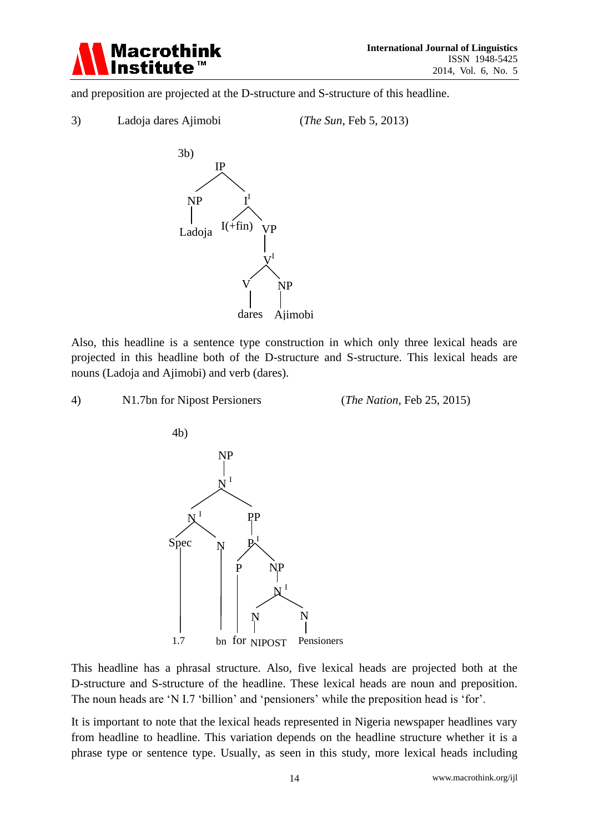

and preposition are projected at the D-structure and S-structure of this headline.

3) Ladoja dares Ajimobi (*The Sun*, Feb 5, 2013)



Also, this headline is a sentence type construction in which only three lexical heads are projected in this headline both of the D-structure and S-structure. This lexical heads are nouns (Ladoja and Ajimobi) and verb (dares).

4) N1.7bn for Nipost Persioners (*The Nation*, Feb 25, 2015)



This headline has a phrasal structure. Also, five lexical heads are projected both at the D-structure and S-structure of the headline. These lexical heads are noun and preposition. The noun heads are 'N I.7 'billion' and 'pensioners' while the preposition head is 'for'.

It is important to note that the lexical heads represented in Nigeria newspaper headlines vary from headline to headline. This variation depends on the headline structure whether it is a phrase type or sentence type. Usually, as seen in this study, more lexical heads including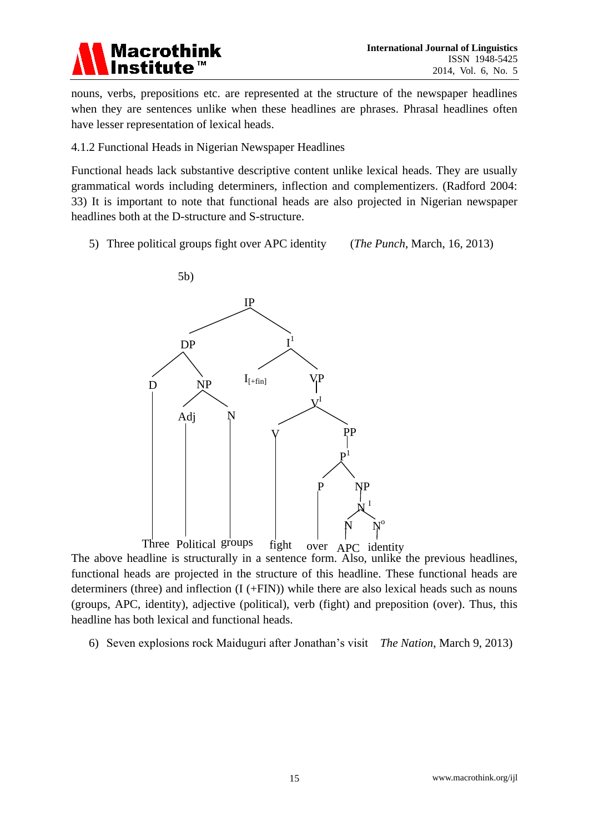

nouns, verbs, prepositions etc. are represented at the structure of the newspaper headlines when they are sentences unlike when these headlines are phrases. Phrasal headlines often have lesser representation of lexical heads.

#### 4.1.2 Functional Heads in Nigerian Newspaper Headlines

Functional heads lack substantive descriptive content unlike lexical heads. They are usually grammatical words including determiners, inflection and complementizers. (Radford 2004: 33) It is important to note that functional heads are also projected in Nigerian newspaper headlines both at the D-structure and S-structure.

5) Three political groups fight over APC identity (*The Punch*, March, 16, 2013)



fight over APC identity Three Political groups

The above headline is structurally in a sentence form. Also, unlike the previous headlines, functional heads are projected in the structure of this headline. These functional heads are determiners (three) and inflection (I (+FIN)) while there are also lexical heads such as nouns (groups, APC, identity), adjective (political), verb (fight) and preposition (over). Thus, this headline has both lexical and functional heads.

6) Seven explosions rock Maiduguri after Jonathan's visit *The Nation*, March 9, 2013)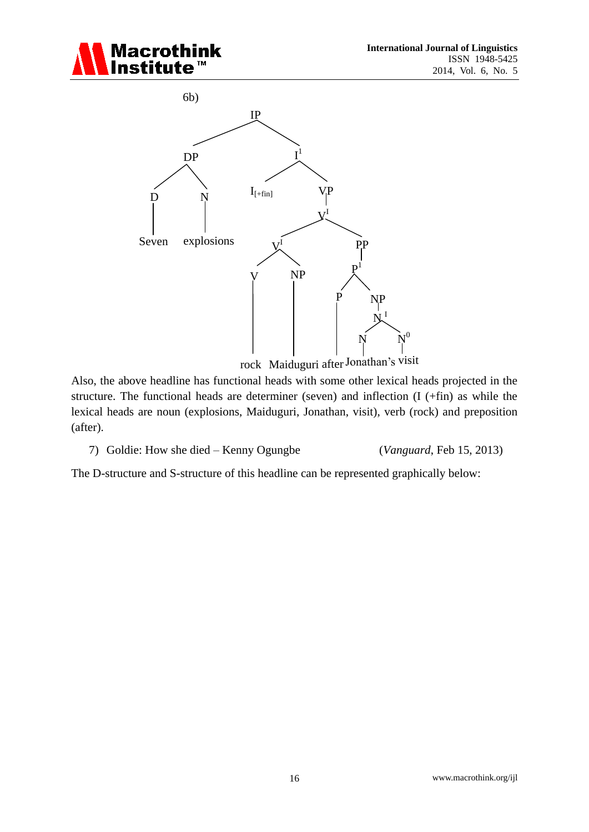



rock Maiduguri after Jonathan's visit

Also, the above headline has functional heads with some other lexical heads projected in the structure. The functional heads are determiner (seven) and inflection (I (+fin) as while the lexical heads are noun (explosions, Maiduguri, Jonathan, visit), verb (rock) and preposition (after).

7) Goldie: How she died – Kenny Ogungbe (*Vanguard*, Feb 15, 2013)

The D-structure and S-structure of this headline can be represented graphically below: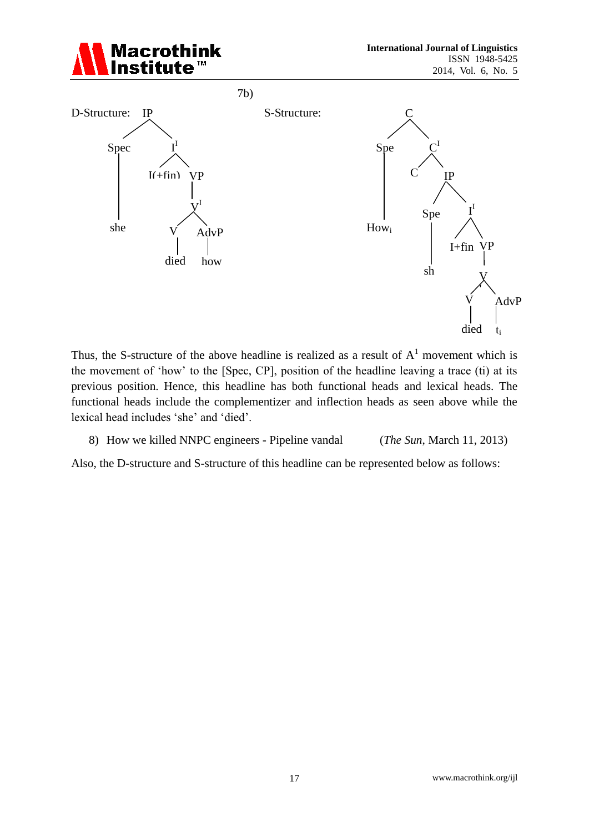

Thus, the S-structure of the above headline is realized as a result of  $A<sup>1</sup>$  movement which is the movement of 'how' to the [Spec, CP], position of the headline leaving a trace (ti) at its previous position. Hence, this headline has both functional heads and lexical heads. The functional heads include the complementizer and inflection heads as seen above while the lexical head includes 'she' and 'died'.

8) How we killed NNPC engineers - Pipeline vandal (*The Sun*, March 11, 2013)

Also, the D-structure and S-structure of this headline can be represented below as follows: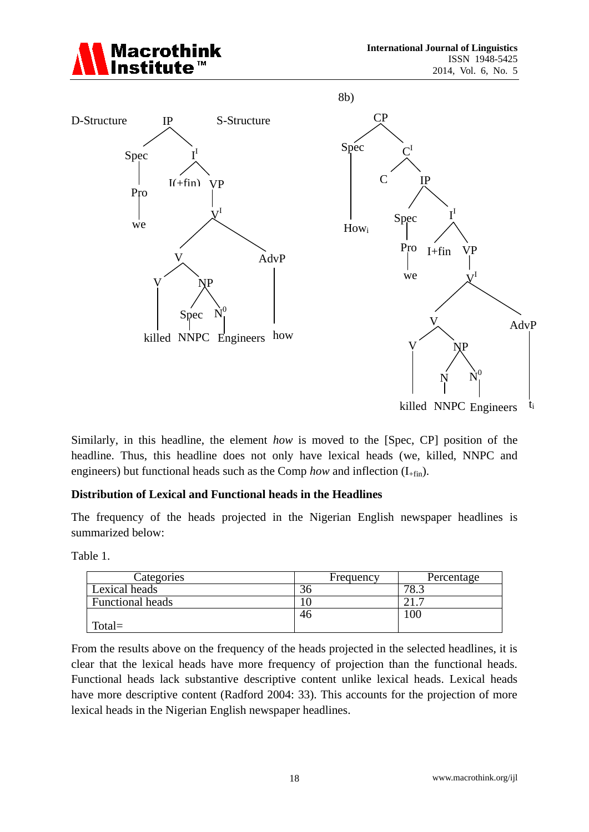

Similarly, in this headline, the element *how* is moved to the [Spec, CP] position of the headline. Thus, this headline does not only have lexical heads (we, killed, NNPC and engineers) but functional heads such as the Comp *how* and inflection  $(I_{+fin})$ .

### **Distribution of Lexical and Functional heads in the Headlines**

The frequency of the heads projected in the Nigerian English newspaper headlines is summarized below:

Table 1.

| Categories              | Frequency | Percentage                                      |
|-------------------------|-----------|-------------------------------------------------|
| Lexical heads           |           | $\neg$ $\circ$<br>$\mathbf{0} \cdot \mathbf{0}$ |
| <b>Functional heads</b> |           |                                                 |
|                         | 46        | 100                                             |
| Total=                  |           |                                                 |

From the results above on the frequency of the heads projected in the selected headlines, it is clear that the lexical heads have more frequency of projection than the functional heads. Functional heads lack substantive descriptive content unlike lexical heads. Lexical heads have more descriptive content (Radford 2004: 33). This accounts for the projection of more lexical heads in the Nigerian English newspaper headlines.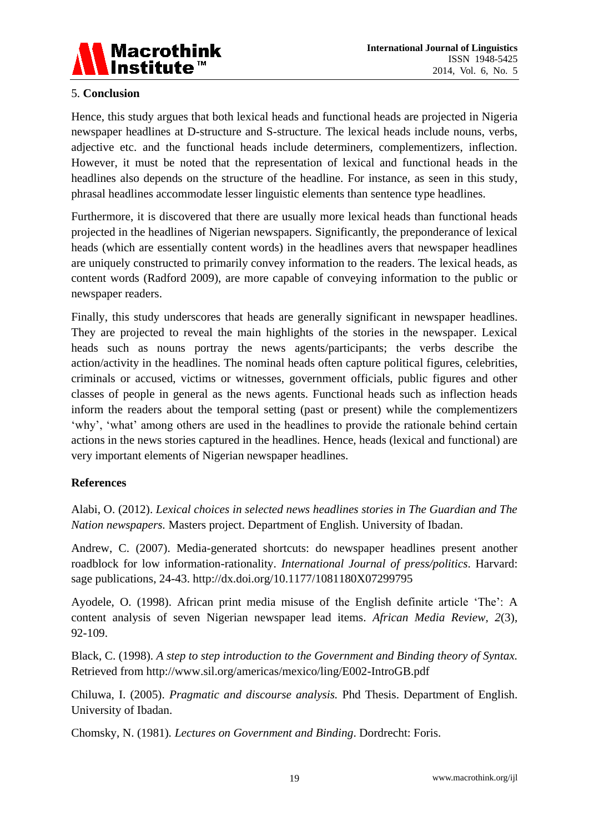

## 5. **Conclusion**

Hence, this study argues that both lexical heads and functional heads are projected in Nigeria newspaper headlines at D-structure and S-structure. The lexical heads include nouns, verbs, adjective etc. and the functional heads include determiners, complementizers, inflection. However, it must be noted that the representation of lexical and functional heads in the headlines also depends on the structure of the headline. For instance, as seen in this study, phrasal headlines accommodate lesser linguistic elements than sentence type headlines.

Furthermore, it is discovered that there are usually more lexical heads than functional heads projected in the headlines of Nigerian newspapers. Significantly, the preponderance of lexical heads (which are essentially content words) in the headlines avers that newspaper headlines are uniquely constructed to primarily convey information to the readers. The lexical heads, as content words (Radford 2009), are more capable of conveying information to the public or newspaper readers.

Finally, this study underscores that heads are generally significant in newspaper headlines. They are projected to reveal the main highlights of the stories in the newspaper. Lexical heads such as nouns portray the news agents/participants; the verbs describe the action/activity in the headlines. The nominal heads often capture political figures, celebrities, criminals or accused, victims or witnesses, government officials, public figures and other classes of people in general as the news agents. Functional heads such as inflection heads inform the readers about the temporal setting (past or present) while the complementizers 'why', 'what' among others are used in the headlines to provide the rationale behind certain actions in the news stories captured in the headlines. Hence, heads (lexical and functional) are very important elements of Nigerian newspaper headlines.

### **References**

Alabi, O. (2012). *Lexical choices in selected news headlines stories in The Guardian and The Nation newspapers.* Masters project. Department of English. University of Ibadan.

Andrew, C. (2007). Media-generated shortcuts: do newspaper headlines present another roadblock for low information-rationality. *International Journal of press/politics*. Harvard: sage publications, 24-43. http://dx.doi.org/10.1177/1081180X07299795

Ayodele, O. (1998). African print media misuse of the English definite article 'The': A content analysis of seven Nigerian newspaper lead items. *African Media Review, 2*(3), 92-109.

Black, C. (1998). *A step to step introduction to the Government and Binding theory of Syntax.* Retrieved from<http://www.sil.org/americas/mexico/ling/E002-IntroGB.pdf>

Chiluwa, I. (2005). *Pragmatic and discourse analysis.* Phd Thesis. Department of English. University of Ibadan.

Chomsky, N. (1981)*. Lectures on Government and Binding*. Dordrecht: Foris.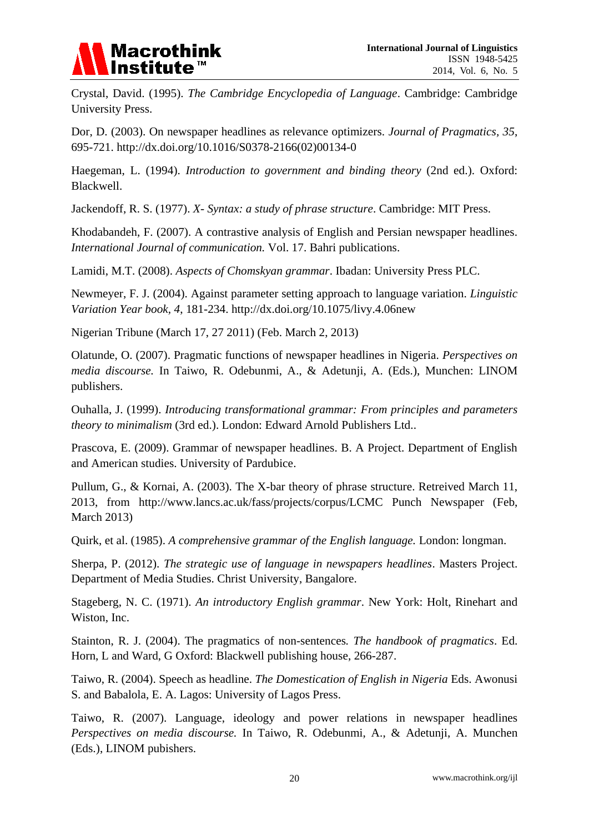

Crystal, David. (1995). *The Cambridge Encyclopedia of Language*. Cambridge: Cambridge University Press.

Dor, D. (2003). On newspaper headlines as relevance optimizers. *Journal of Pragmatics, 35*, 695-721. http://dx.doi.org/10.1016/S0378-2166(02)00134-0

Haegeman, L. (1994). *Introduction to government and binding theory* (2nd ed.). Oxford: Blackwell.

Jackendoff, R. S. (1977). *X- Syntax: a study of phrase structure*. Cambridge: MIT Press.

Khodabandeh, F. (2007). A contrastive analysis of English and Persian newspaper headlines. *International Journal of communication.* Vol. 17. Bahri publications.

Lamidi, M.T. (2008). *Aspects of Chomskyan grammar*. Ibadan: University Press PLC.

Newmeyer, F. J. (2004). Against parameter setting approach to language variation. *Linguistic Variation Year book, 4*, 181-234. http://dx.doi.org/10.1075/livy.4.06new

Nigerian Tribune (March 17, 27 2011) (Feb. March 2, 2013)

Olatunde, O. (2007). Pragmatic functions of newspaper headlines in Nigeria. *Perspectives on media discourse.* In Taiwo, R. Odebunmi, A., & Adetunji, A. (Eds.), Munchen: LINOM publishers.

Ouhalla, J. (1999). *Introducing transformational grammar: From principles and parameters theory to minimalism* (3rd ed.). London: Edward Arnold Publishers Ltd..

Prascova, E. (2009). Grammar of newspaper headlines. B. A Project. Department of English and American studies. University of Pardubice.

Pullum, G., & Kornai, A. (2003). The X-bar theory of phrase structure. Retreived March 11, 2013, from http://www.lancs.ac.uk/fass/projects/corpus/LCMC Punch Newspaper (Feb, March 2013)

Quirk, et al. (1985). *A comprehensive grammar of the English language.* London: longman.

Sherpa, P. (2012). *The strategic use of language in newspapers headlines*. Masters Project. Department of Media Studies. Christ University, Bangalore.

Stageberg, N. C. (1971). *An introductory English grammar*. New York: Holt, Rinehart and Wiston, Inc.

Stainton, R. J. (2004). The pragmatics of non-sentences*. The handbook of pragmatics*. Ed. Horn, L and Ward, G Oxford: Blackwell publishing house, 266-287.

Taiwo, R. (2004). Speech as headline. *The Domestication of English in Nigeria* Eds. Awonusi S. and Babalola, E. A. Lagos: University of Lagos Press.

Taiwo, R. (2007). Language, ideology and power relations in newspaper headlines *Perspectives on media discourse.* In Taiwo, R. Odebunmi, A., & Adetunji, A. Munchen (Eds.), LINOM pubishers.